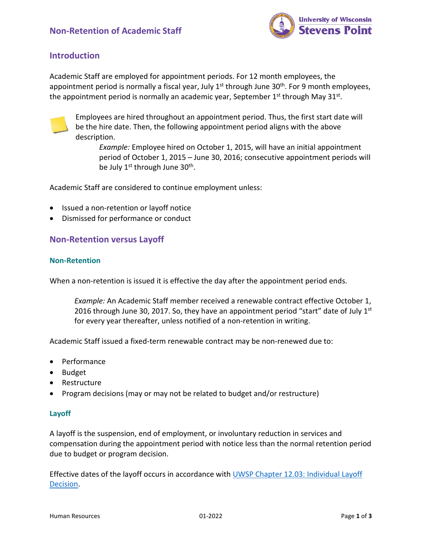

### **Introduction**

Academic Staff are employed for appointment periods. For 12 month employees, the appointment period is normally a fiscal year, July  $1<sup>st</sup>$  through June 30<sup>th</sup>. For 9 month employees, the appointment period is normally an academic year, September  $1<sup>st</sup>$  through May 31 $<sup>st</sup>$ .</sup>



Employees are hired throughout an appointment period. Thus, the first start date will be the hire date. Then, the following appointment period aligns with the above description.

*Example:* Employee hired on October 1, 2015, will have an initial appointment period of October 1, 2015 – June 30, 2016; consecutive appointment periods will be July 1<sup>st</sup> through June 30<sup>th</sup>.

Academic Staff are considered to continue employment unless:

- Issued a non-retention or layoff notice
- Dismissed for performance or conduct

### **Non-Retention versus Layoff**

#### **Non-Retention**

When a non-retention is issued it is effective the day after the appointment period ends.

*Example:* An Academic Staff member received a renewable contract effective October 1, 2016 through June 30, 2017. So, they have an appointment period "start" date of July  $1<sup>st</sup>$ for every year thereafter, unless notified of a non-retention in writing.

Academic Staff issued a fixed-term renewable contract may be non-renewed due to:

- Performance
- Budget
- Restructure
- Program decisions (may or may not be related to budget and/or restructure)

#### **Layoff**

A layoff is the suspension, end of employment, or involuntary reduction in services and compensation during the appointment period with notice less than the normal retention period due to budget or program decision.

Effective dates of the layoff occurs in accordance with [UWSP Chapter 12.03: Individual Layoff](https://catalog.uwsp.edu/content.php?catoid=32&navoid=1773#chapter-uwsp-12-layoff-of-academic-staff-for-reasons-of-budget-or-program)  [Decision.](https://catalog.uwsp.edu/content.php?catoid=32&navoid=1773#chapter-uwsp-12-layoff-of-academic-staff-for-reasons-of-budget-or-program)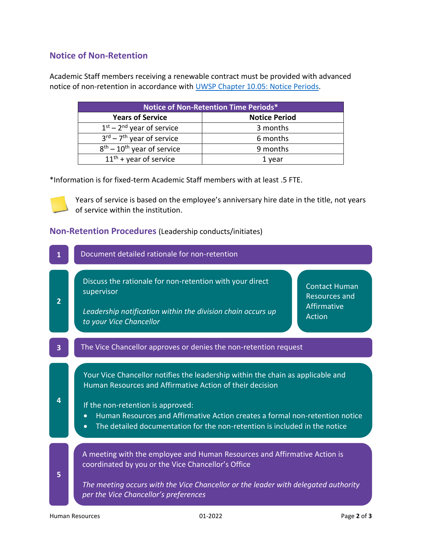# **Notice of Non-Retention**

Academic Staff members receiving a renewable contract must be provided with advanced notice of non-retention in accordance with [UWSP Chapter 10.05: Notice Periods.](https://catalog.uwsp.edu/content.php?catoid=32&navoid=1773#uwsp-10-05-notice-periods)

| Notice of Non-Retention Time Periods*             |                      |
|---------------------------------------------------|----------------------|
| <b>Years of Service</b>                           | <b>Notice Period</b> |
| $1st - 2nd$ year of service                       | 3 months             |
| $3^{\text{rd}}$ – $7^{\text{th}}$ year of service | 6 months             |
| $8th - 10th$ year of service                      | 9 months             |
| $11th$ + year of service                          | 1 year               |

\*Information is for fixed-term Academic Staff members with at least .5 FTE.

Years of service is based on the employee's anniversary hire date in the title, not years of service within the institution.

### **Non-Retention Procedures** (Leadership conducts/initiates)